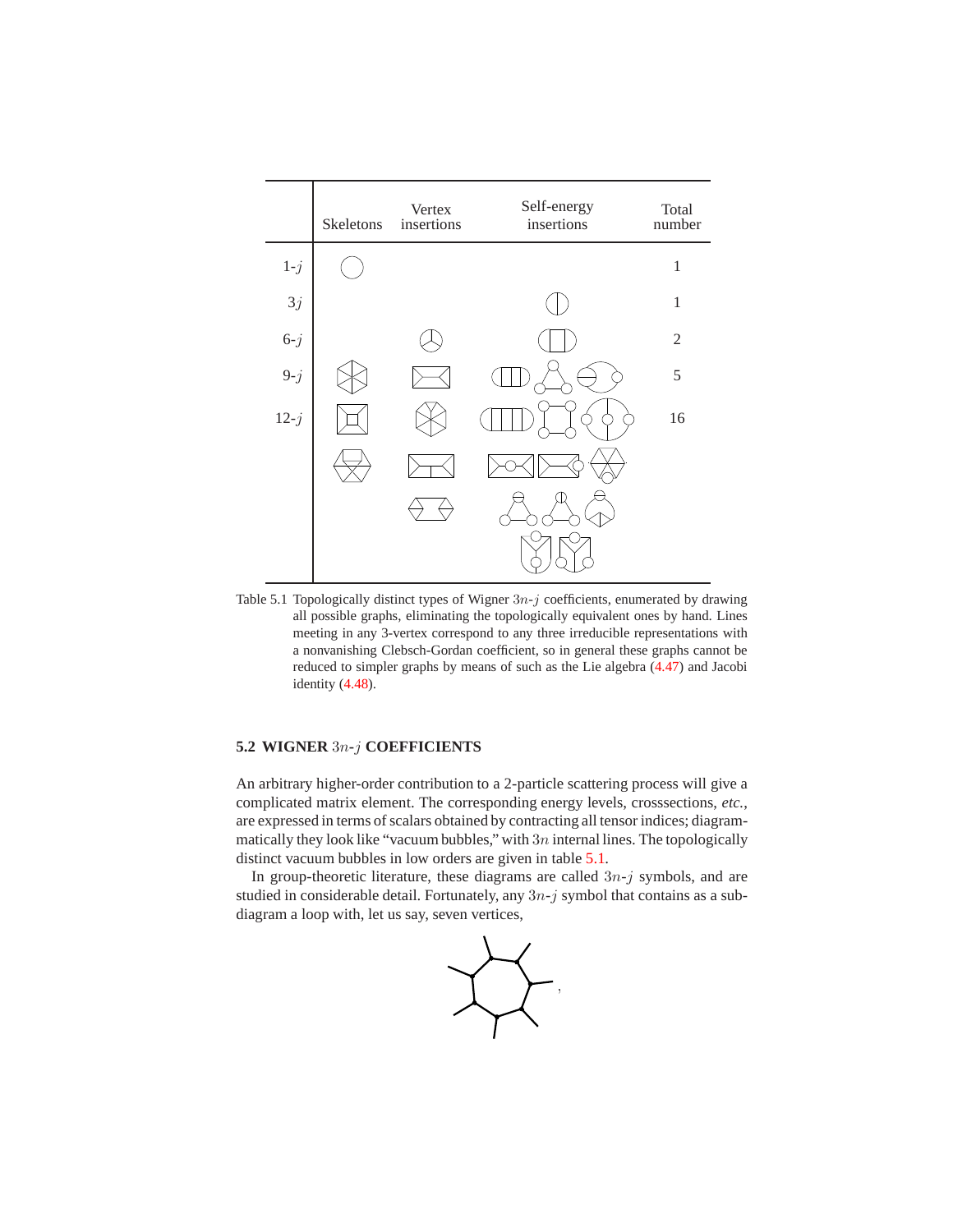

Table 5.1 Topologically distinct types of Wigner  $3n-j$  coefficients, enumerated by drawing all possible graphs, eliminating the topologically equivalent ones by hand. Lines meeting in any 3-vertex correspond to any three irreducible representations with a nonvanishing Clebsch-Gordan coefficient, so in general these graphs cannot be reduced to simpler graphs by means of such as the Lie algebra (4.47) and Jacobi identity (4.48).

## **5.2 WIGNER** 3n**-**j **COEFFICIENTS**

An arbitrary higher-order contribution to a 2-particle scattering process will give a complicated matrix element. The corresponding energy levels, crosssections, *etc.*, are expressed in terms of scalars obtained by contracting all tensor indices; diagrammatically they look like "vacuum bubbles," with  $3n$  internal lines. The topologically distinct vacuum bubbles in low orders are given in table 5.1.

In group-theoretic literature, these diagrams are called  $3n-j$  symbols, and are studied in considerable detail. Fortunately, any  $3n-j$  symbol that contains as a subdiagram a loop with, let us say, seven vertices,